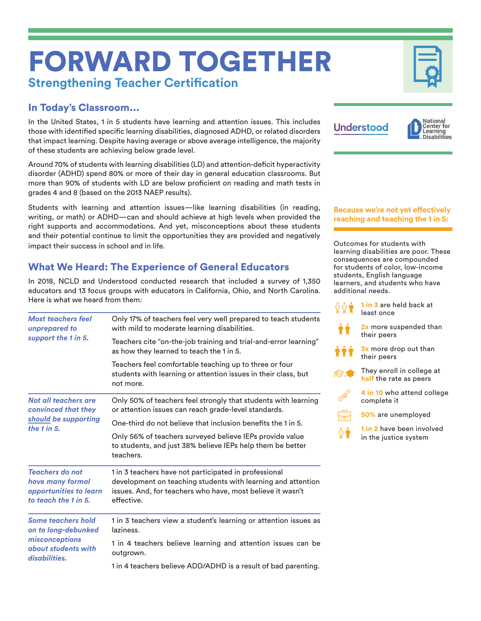# FORWARD TOGETHER **Strengthening Teacher Certification**

# In Today's Classroom...

In the United States, 1 in 5 students have learning and attention issues. This includes those with identified specific learning disabilities, diagnosed ADHD, or related disorders that impact learning. Despite having average or above average intelligence, the majority of these students are achieving below grade level.

Around 70% of students with learning disabilities (LD) and attention-deficit hyperactivity disorder (ADHD) spend 80% or more of their day in general education classrooms. But more than 90% of students with LD are below proficient on reading and math tests in grades 4 and 8 (based on the 2013 NAEP results).

Students with learning and attention issues—like learning disabilities (in reading, writing, or math) or ADHD—can and should achieve at high levels when provided the right supports and accommodations. And yet, misconceptions about these students and their potential continue to limit the opportunities they are provided and negatively impact their success in school and in life.

# What We Heard: The Experience of General Educators

In 2018, NCLD and Understood conducted research that included a survey of 1,350 educators and 13 focus groups with educators in California, Ohio, and North Carolina. Here is what we heard from them:

| <b>Most teachers feel</b><br>unprepared to<br>support the 1 in 5.                                          | Only 17% of teachers feel very well prepared to teach students<br>with mild to moderate learning disabilities.                                                                                    |
|------------------------------------------------------------------------------------------------------------|---------------------------------------------------------------------------------------------------------------------------------------------------------------------------------------------------|
|                                                                                                            | Teachers cite "on-the-job training and trial-and-error learning"<br>as how they learned to teach the 1 in 5.                                                                                      |
|                                                                                                            | Teachers feel comfortable teaching up to three or four<br>students with learning or attention issues in their class, but<br>not more.                                                             |
| Not all teachers are<br>convinced that they<br>should be supporting<br>the $1$ in $5$ .                    | Only 50% of teachers feel strongly that students with learning<br>or attention issues can reach grade-level standards.                                                                            |
|                                                                                                            | One-third do not believe that inclusion benefits the 1 in 5.                                                                                                                                      |
|                                                                                                            | Only 56% of teachers surveyed believe IEPs provide value<br>to students, and just 38% believe IEPs help them be better<br>teachers.                                                               |
| <b>Teachers do not</b><br>have many formal<br>opportunities to learn<br>to teach the 1 in 5.               | 1 in 3 teachers have not participated in professional<br>development on teaching students with learning and attention<br>issues. And, for teachers who have, most believe it wasn't<br>effective. |
| <b>Some teachers hold</b><br>on to long-debunked<br>misconceptions<br>about students with<br>disabilities. | 1 in 3 teachers view a student's learning or attention issues as<br>laziness.                                                                                                                     |
|                                                                                                            | 1 in 4 teachers believe learning and attention issues can be<br>outgrown.                                                                                                                         |
|                                                                                                            | 1 in 4 teachers believe ADD/ADHD is a result of bad parenting.                                                                                                                                    |



**Because we're not yet effectively reaching and teaching the 1 in 5:**

Outcomes for students with learning disabilities are poor. These consequences are compounded for students of color, low-income students, English language learners, and students who have additional needs.

| ជិជិ¶      | <b>1 in 3 are held back at</b><br>least once              |
|------------|-----------------------------------------------------------|
| ŤŤ         | 2x more suspended than<br>their peers                     |
| <b>111</b> | <b>3x</b> more drop out than<br>their peers               |
|            | They enroll in college at<br>half the rate as peers       |
|            | 4 in 10 who attend college<br>complete it                 |
|            | 50% are unemployed                                        |
|            | <b>1 in 2</b> have been involved<br>in the justice system |
|            |                                                           |

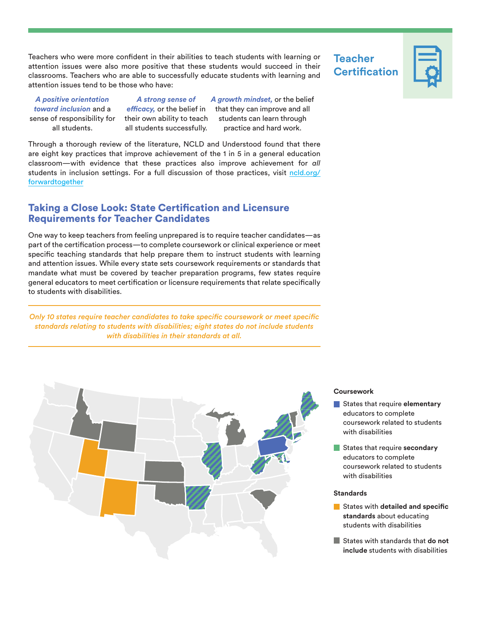Teachers who were more confident in their abilities to teach students with learning or attention issues were also more positive that these students would succeed in their classrooms. Teachers who are able to successfully educate students with learning and attention issues tend to be those who have:

*A positive orientation toward inclusion* and a sense of responsibility for all students.

*A strong sense of efficacy,* or the belief in their own ability to teach all students successfully.

*A growth mindset,* or the belief that they can improve and all students can learn through practice and hard work.

Through a thorough review of the literature, NCLD and Understood found that there are eight key practices that improve achievement of the 1 in 5 in a general education classroom—with evidence that these practices also improve achievement for *all*  students in inclusion settings. For a full discussion of those practices, visit [ncld.org/](https://www.ncld.org/forwardtogether) [forwardtogether](https://www.ncld.org/forwardtogether)

## Taking a Close Look: State Certification and Licensure Requirements for Teacher Candidates

One way to keep teachers from feeling unprepared is to require teacher candidates—as part of the certification process—to complete coursework or clinical experience or meet specific teaching standards that help prepare them to instruct students with learning and attention issues. While every state sets coursework requirements or standards that mandate what must be covered by teacher preparation programs, few states require general educators to meet certification or licensure requirements that relate specifically to students with disabilities.

*Only 10 states require teacher candidates to take specific coursework or meet specific standards relating to students with disabilities; eight states do not include students with disabilities in their standards at all.*



# **Teacher Certification**



### **Coursework**

- States that require **elementary**  educators to complete coursework related to students with disabilities
- States that require **secondary** educators to complete coursework related to students with disabilities

#### **Standards**

- **States with detailed and specific standards** about educating students with disabilities
- States with standards that **do not include** students with disabilities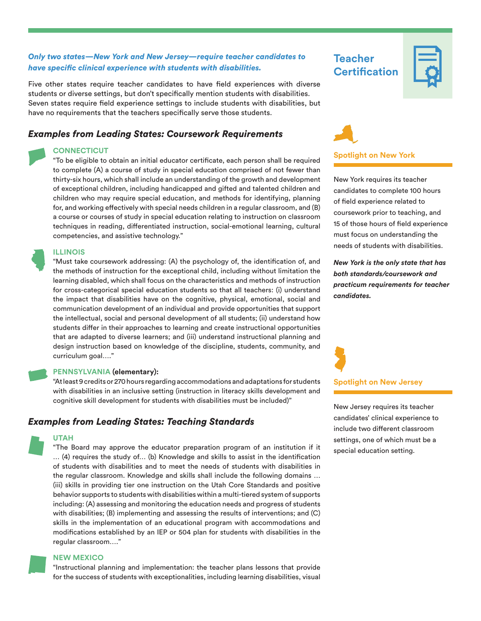## *Only two states—New York and New Jersey—require teacher candidates to have specific clinical experience with students with disabilities.*

Five other states require teacher candidates to have field experiences with diverse students or diverse settings, but don't specifically mention students with disabilities. Seven states require field experience settings to include students with disabilities, but have no requirements that the teachers specifically serve those students.

## *Examples from Leading States: Coursework Requirements*

#### **CONNECTICUT**

"To be eligible to obtain an initial educator certificate, each person shall be required to complete (A) a course of study in special education comprised of not fewer than thirty-six hours, which shall include an understanding of the growth and development of exceptional children, including handicapped and gifted and talented children and children who may require special education, and methods for identifying, planning for, and working effectively with special needs children in a regular classroom, and (B) a course or courses of study in special education relating to instruction on classroom techniques in reading, differentiated instruction, social-emotional learning, cultural competencies, and assistive technology."

#### **ILLINOIS**

"Must take coursework addressing: (A) the psychology of, the identification of, and the methods of instruction for the exceptional child, including without limitation the learning disabled, which shall focus on the characteristics and methods of instruction for cross-categorical special education students so that all teachers: (i) understand the impact that disabilities have on the cognitive, physical, emotional, social and communication development of an individual and provide opportunities that support the intellectual, social and personal development of all students; (ii) understand how students differ in their approaches to learning and create instructional opportunities that are adapted to diverse learners; and (iii) understand instructional planning and design instruction based on knowledge of the discipline, students, community, and curriculum goal…."

#### **PENNSYLVANIA (elementary):**

"At least 9 credits or 270 hours regarding accommodations and adaptations for students with disabilities in an inclusive setting (instruction in literacy skills development and cognitive skill development for students with disabilities must be included)"

## *Examples from Leading States: Teaching Standards*

#### **UTAH**

"The Board may approve the educator preparation program of an institution if it … (4) requires the study of… (b) Knowledge and skills to assist in the identification of students with disabilities and to meet the needs of students with disabilities in the regular classroom. Knowledge and skills shall include the following domains … (iii) skills in providing tier one instruction on the Utah Core Standards and positive behavior supports to students with disabilities within a multi-tiered system of supports including: (A) assessing and monitoring the education needs and progress of students with disabilities; (B) implementing and assessing the results of interventions; and (C) skills in the implementation of an educational program with accommodations and modifications established by an IEP or 504 plan for students with disabilities in the regular classroom…."

#### **NEW MEXICO**

"Instructional planning and implementation: the teacher plans lessons that provide for the success of students with exceptionalities, including learning disabilities, visual

**Teacher Certification**





New York requires its teacher candidates to complete 100 hours of field experience related to coursework prior to teaching, and 15 of those hours of field experience must focus on understanding the needs of students with disabilities.

*New York is the only state that has both standards/coursework and practicum requirements for teacher candidates.*

#### **Spotlight on New Jersey**

New Jersey requires its teacher candidates' clinical experience to include two different classroom settings, one of which must be a special education setting.